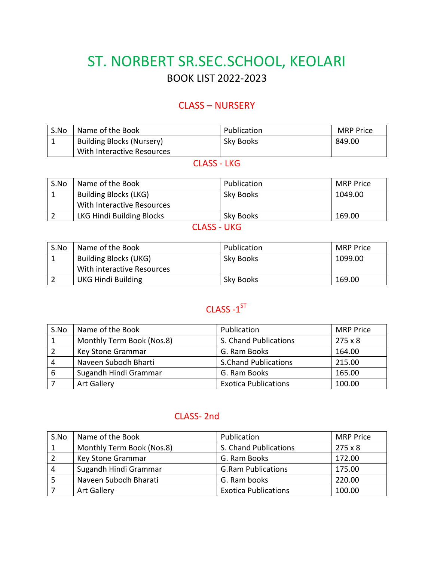# ST. NORBERT SR.SEC.SCHOOL, KEOLARI BOOK LIST 2022-2023

#### CLASS – NURSERY

| S.No | Name of the Book                 | Publication | <b>MRP</b> Price |
|------|----------------------------------|-------------|------------------|
|      | <b>Building Blocks (Nursery)</b> | Sky Books   | 849.00           |
|      | With Interactive Resources       |             |                  |

#### CLASS - LKG

| S.No | Name of the Book             | Publication | <b>MRP Price</b> |
|------|------------------------------|-------------|------------------|
|      | <b>Building Blocks (LKG)</b> | Sky Books   | 1049.00          |
|      | With Interactive Resources   |             |                  |
|      | LKG Hindi Building Blocks    | Sky Books   | 169.00           |
|      |                              |             |                  |

#### CLASS - UKG

| S.No | Name of the Book           | Publication | <b>MRP</b> Price |
|------|----------------------------|-------------|------------------|
|      | Building Blocks (UKG)      | Sky Books   | 1099.00          |
|      | With interactive Resources |             |                  |
|      | <b>UKG Hindi Building</b>  | Sky Books   | 169.00           |

### CLASS -1<sup>ST</sup>

| S.No | Name of the Book          | Publication                 | <b>MRP Price</b> |
|------|---------------------------|-----------------------------|------------------|
|      | Monthly Term Book (Nos.8) | S. Chand Publications       | $275 \times 8$   |
|      | Key Stone Grammar         | G. Ram Books                | 164.00           |
| 4    | Naveen Subodh Bharti      | <b>S.Chand Publications</b> | 215.00           |
| 6    | Sugandh Hindi Grammar     | G. Ram Books                | 165.00           |
|      | <b>Art Gallery</b>        | <b>Exotica Publications</b> | 100.00           |

#### CLASS- 2nd

| S.No | Name of the Book          | Publication                 | <b>MRP Price</b> |
|------|---------------------------|-----------------------------|------------------|
|      | Monthly Term Book (Nos.8) | S. Chand Publications       | $275 \times 8$   |
|      | Key Stone Grammar         | G. Ram Books                | 172.00           |
|      | Sugandh Hindi Grammar     | <b>G.Ram Publications</b>   | 175.00           |
|      | Naveen Subodh Bharati     | G. Ram books                | 220.00           |
|      | <b>Art Gallery</b>        | <b>Exotica Publications</b> | 100.00           |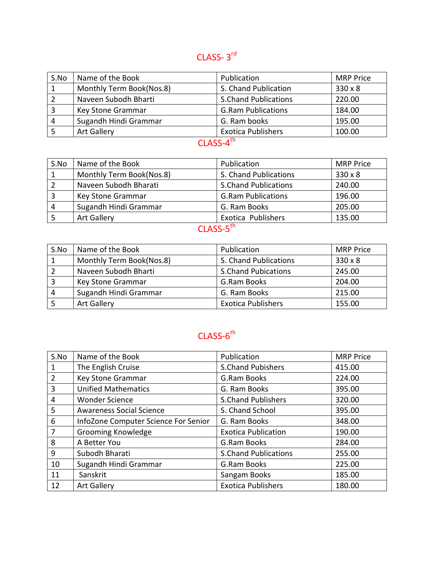## CLASS-3<sup>rd</sup>

| S.No | Name of the Book         | Publication                 | <b>MRP Price</b> |
|------|--------------------------|-----------------------------|------------------|
|      | Monthly Term Book(Nos.8) | S. Chand Publication        | $330 \times 8$   |
|      | Naveen Subodh Bharti     | <b>S.Chand Publications</b> | 220.00           |
|      | Key Stone Grammar        | <b>G.Ram Publications</b>   | 184.00           |
| 4    | Sugandh Hindi Grammar    | G. Ram books                | 195.00           |
|      | <b>Art Gallery</b>       | <b>Exotica Publishers</b>   | 100.00           |

### CLASS-4<sup>th</sup>

| S.No | Name of the Book         | Publication                 | <b>MRP Price</b> |
|------|--------------------------|-----------------------------|------------------|
|      | Monthly Term Book(Nos.8) | S. Chand Publications       | $330 \times 8$   |
|      | Naveen Subodh Bharati    | <b>S.Chand Publications</b> | 240.00           |
|      | Key Stone Grammar        | <b>G.Ram Publications</b>   | 196.00           |
| 4    | Sugandh Hindi Grammar    | G. Ram Books                | 205.00           |
|      | <b>Art Gallery</b>       | Exotica Publishers          | 135.00           |

### CLASS-5<sup>th</sup>

| S.No | Name of the Book         | Publication                | <b>MRP Price</b> |
|------|--------------------------|----------------------------|------------------|
|      | Monthly Term Book(Nos.8) | S. Chand Publications      | $330 \times 8$   |
|      | Naveen Subodh Bharti     | <b>S.Chand Pubications</b> | 245.00           |
|      | Key Stone Grammar        | G.Ram Books                | 204.00           |
|      | Sugandh Hindi Grammar    | G. Ram Books               | 215.00           |
|      | <b>Art Gallery</b>       | <b>Exotica Publishers</b>  | 155.00           |

## CLASS-6<sup>th</sup>

| S.No           | Name of the Book                     | Publication                 | <b>MRP Price</b> |
|----------------|--------------------------------------|-----------------------------|------------------|
| 1              | The English Cruise                   | <b>S.Chand Pubishers</b>    | 415.00           |
| $\overline{2}$ | Key Stone Grammar                    | G.Ram Books                 | 224.00           |
| 3              | <b>Unified Mathematics</b>           | G. Ram Books                | 395.00           |
| 4              | <b>Wonder Science</b>                | <b>S.Chand Publishers</b>   | 320.00           |
| 5              | <b>Awareness Social Science</b>      | S. Chand School             | 395.00           |
| 6              | InfoZone Computer Science For Senior | G. Ram Books                | 348.00           |
| 7              | Grooming Knowledge                   | <b>Exotica Publication</b>  | 190.00           |
| 8              | A Better You                         | G.Ram Books                 | 284.00           |
| 9              | Subodh Bharati                       | <b>S.Chand Publications</b> | 255.00           |
| 10             | Sugandh Hindi Grammar                | G.Ram Books                 | 225.00           |
| 11             | Sanskrit                             | Sangam Books                | 185.00           |
| 12             | <b>Art Gallery</b>                   | <b>Exotica Publishers</b>   | 180.00           |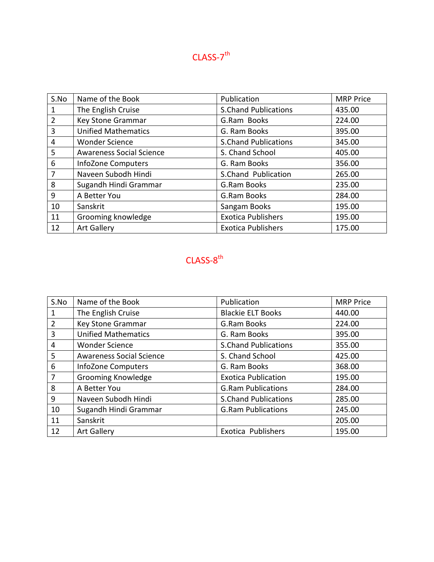### **CLASS-7<sup>th</sup>**

| S.No           | Name of the Book                | Publication                 | <b>MRP Price</b> |
|----------------|---------------------------------|-----------------------------|------------------|
|                | The English Cruise              | <b>S.Chand Publications</b> | 435.00           |
| $\overline{2}$ | Key Stone Grammar               | G.Ram Books                 | 224.00           |
| 3              | <b>Unified Mathematics</b>      | G. Ram Books                | 395.00           |
| 4              | <b>Wonder Science</b>           | <b>S.Chand Publications</b> | 345.00           |
| 5              | <b>Awareness Social Science</b> | S. Chand School             | 405.00           |
| 6              | <b>InfoZone Computers</b>       | G. Ram Books                | 356.00           |
| 7              | Naveen Subodh Hindi             | S.Chand Publication         | 265.00           |
| 8              | Sugandh Hindi Grammar           | G.Ram Books                 | 235.00           |
| 9              | A Better You                    | G.Ram Books                 | 284.00           |
| 10             | Sanskrit                        | Sangam Books                | 195.00           |
| 11             | Grooming knowledge              | <b>Exotica Publishers</b>   | 195.00           |
| 12             | <b>Art Gallery</b>              | <b>Exotica Publishers</b>   | 175.00           |

### **CLASS-8<sup>th</sup>**

| S.No           | Name of the Book                | Publication                 | <b>MRP Price</b> |
|----------------|---------------------------------|-----------------------------|------------------|
| 1              | The English Cruise              | <b>Blackie ELT Books</b>    | 440.00           |
| $\overline{2}$ | Key Stone Grammar               | G.Ram Books                 | 224.00           |
| 3              | <b>Unified Mathematics</b>      | G. Ram Books                | 395.00           |
| 4              | <b>Wonder Science</b>           | <b>S.Chand Publications</b> | 355.00           |
| 5              | <b>Awareness Social Science</b> | S. Chand School             | 425.00           |
| 6              | InfoZone Computers              | G. Ram Books                | 368.00           |
| 7              | Grooming Knowledge              | <b>Exotica Publication</b>  | 195.00           |
| 8              | A Better You                    | <b>G.Ram Publications</b>   | 284.00           |
| 9              | Naveen Subodh Hindi             | <b>S.Chand Publications</b> | 285.00           |
| 10             | Sugandh Hindi Grammar           | <b>G.Ram Publications</b>   | 245.00           |
| 11             | Sanskrit                        |                             | 205.00           |
| 12             | <b>Art Gallery</b>              | Exotica Publishers          | 195.00           |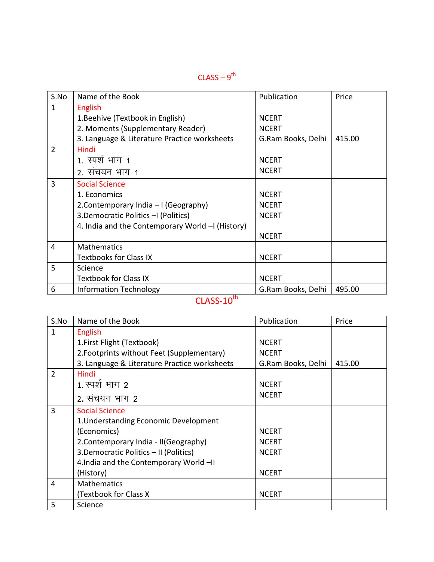#### $\mathsf{CLASS}\, \text{-}\, \mathsf{9}^\mathsf{th}$

| S.No           | Name of the Book                                | Publication        | Price  |
|----------------|-------------------------------------------------|--------------------|--------|
| $\mathbf{1}$   | <b>English</b>                                  |                    |        |
|                | 1. Beehive (Textbook in English)                | <b>NCERT</b>       |        |
|                | 2. Moments (Supplementary Reader)               | <b>NCERT</b>       |        |
|                | 3. Language & Literature Practice worksheets    | G.Ram Books, Delhi | 415.00 |
| $\overline{2}$ | Hindi                                           |                    |        |
|                | 1. स्पर्श भाग 1                                 | <b>NCERT</b>       |        |
|                | 2. संचयन भाग 1                                  | <b>NCERT</b>       |        |
| 3              | <b>Social Science</b>                           |                    |        |
|                | 1. Economics                                    | <b>NCERT</b>       |        |
|                | 2. Contemporary India – I (Geography)           | <b>NCERT</b>       |        |
|                | 3. Democratic Politics - I (Politics)           | <b>NCERT</b>       |        |
|                | 4. India and the Contemporary World - (History) |                    |        |
|                |                                                 | <b>NCERT</b>       |        |
| 4              | <b>Mathematics</b>                              |                    |        |
|                | <b>Textbooks for Class IX</b>                   | <b>NCERT</b>       |        |
| 5              | Science                                         |                    |        |
|                | <b>Textbook for Class IX</b>                    | <b>NCERT</b>       |        |
| 6              | <b>Information Technology</b><br>.th            | G.Ram Books, Delhi | 495.00 |

#### $CLASS-10<sup>th</sup>$

| S.No           | Name of the Book                             | Publication        | Price  |
|----------------|----------------------------------------------|--------------------|--------|
| 1              | English                                      |                    |        |
|                | 1. First Flight (Textbook)                   | <b>NCERT</b>       |        |
|                | 2. Footprints without Feet (Supplementary)   | <b>NCERT</b>       |        |
|                | 3. Language & Literature Practice worksheets | G.Ram Books, Delhi | 415.00 |
| $\overline{2}$ | Hindi                                        |                    |        |
|                | <u>1. स्पर्श भाग 2</u>                       | <b>NCERT</b>       |        |
|                | 2. संचयन भाग 2                               | <b>NCERT</b>       |        |
| 3              | <b>Social Science</b>                        |                    |        |
|                | 1. Understanding Economic Development        |                    |        |
|                | (Economics)                                  | <b>NCERT</b>       |        |
|                | 2. Contemporary India - II (Geography)       | <b>NCERT</b>       |        |
|                | 3. Democratic Politics - II (Politics)       | <b>NCERT</b>       |        |
|                | 4.India and the Contemporary World -II       |                    |        |
|                | (History)                                    | <b>NCERT</b>       |        |
| 4              | <b>Mathematics</b>                           |                    |        |
|                | (Textbook for Class X                        | <b>NCERT</b>       |        |
| 5              | Science                                      |                    |        |